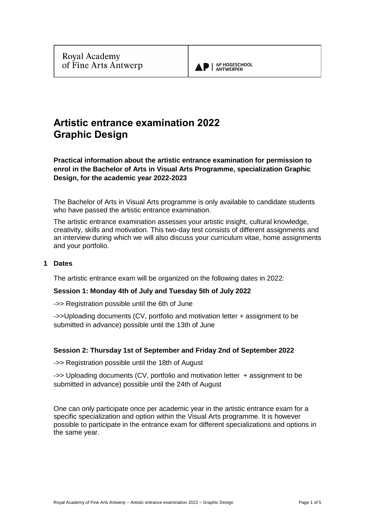

# **Artistic entrance examination 2022 Graphic Design**

**Practical information about the artistic entrance examination for permission to enrol in the Bachelor of Arts in Visual Arts Programme, specialization Graphic Design, for the academic year 2022-2023**

The Bachelor of Arts in Visual Arts programme is only available to candidate students who have passed the artistic entrance examination.

The artistic entrance examination assesses your artistic insight, cultural knowledge, creativity, skills and motivation. This two-day test consists of different assignments and an interview during which we will also discuss your curriculum vitae, home assignments and your portfolio.

## **1 Dates**

The artistic entrance exam will be organized on the following dates in 2022:

## **Session 1: Monday 4th of July and Tuesday 5th of July 2022**

->> Registration possible until the 6th of June

->>Uploading documents (CV, portfolio and motivation letter + assignment to be submitted in advance) possible until the 13th of June

# **Session 2: Thursday 1st of September and Friday 2nd of September 2022**

->> Registration possible until the 18th of August

->> Uploading documents (CV, portfolio and motivation letter + assignment to be submitted in advance) possible until the 24th of August

One can only participate once per academic year in the artistic entrance exam for a specific specialization and option within the Visual Arts programme. It is however possible to participate in the entrance exam for different specializations and options in the same year.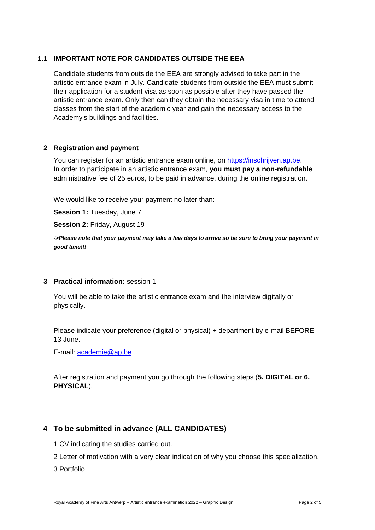# **1.1 IMPORTANT NOTE FOR CANDIDATES OUTSIDE THE EEA**

Candidate students from outside the EEA are strongly advised to take part in the artistic entrance exam in July. Candidate students from outside the EEA must submit their application for a student visa as soon as possible after they have passed the artistic entrance exam. Only then can they obtain the necessary visa in time to attend classes from the start of the academic year and gain the necessary access to the Academy's buildings and facilities.

# **2 Registration and payment**

You can register for an artistic entrance exam online, on [https://inschrijven.ap.be.](https://inschrijven.ap.be/?Academiejaar=2020-21&SoortOpleiding=2&Taal=2) In order to participate in an artistic entrance exam, **you must pay a non-refundable** administrative fee of 25 euros, to be paid in advance, during the online registration.

We would like to receive your payment no later than:

**Session 1:** Tuesday, June 7

**Session 2:** Friday, August 19

*->Please note that your payment may take a few days to arrive so be sure to bring your payment in good time!!!*

# **3 Practical information:** session 1

You will be able to take the artistic entrance exam and the interview digitally or physically.

Please indicate your preference (digital or physical) + department by e-mail BEFORE 13 June.

E-mail:<academie@ap.be>

After registration and payment you go through the following steps (**5. DIGITAL or 6. PHYSICAL**).

# **4 To be submitted in advance (ALL CANDIDATES)**

- 1 CV indicating the studies carried out.
- 2 Letter of motivation with a very clear indication of why you choose this specialization.
- 3 Portfolio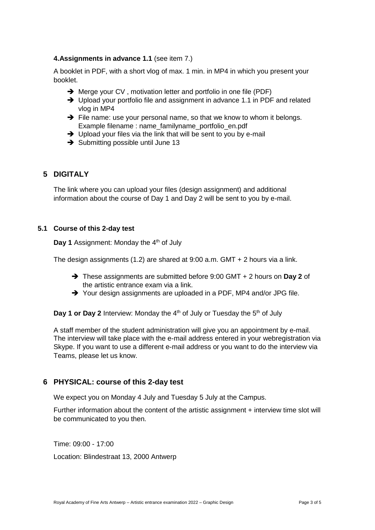## **4.Assignments in advance 1.1** (see item 7.)

A booklet in PDF, with a short vlog of max. 1 min. in MP4 in which you present your booklet.

- **→** Merge your CV, motivation letter and portfolio in one file (PDF)
- → Upload your portfolio file and assignment in advance 1.1 in PDF and related vlog in MP4
- ➔ File name: use your personal name, so that we know to whom it belongs. Example filename : name\_familyname\_portfolio\_en.pdf
- → Upload your files via the link that will be sent to you by e-mail
- **→** Submitting possible until June 13

# **5 DIGITALY**

The link where you can upload your files (design assignment) and additional information about the course of Day 1 and Day 2 will be sent to you by e-mail.

## **5.1 Course of this 2-day test**

**Day 1** Assignment: Monday the 4<sup>th</sup> of July

The design assignments (1.2) are shared at 9:00 a.m. GMT + 2 hours via a link.

- ➔ These assignments are submitted before 9:00 GMT + 2 hours on **Day 2** of the artistic entrance exam via a link.
- ➔ Your design assignments are uploaded in a PDF, MP4 and/or JPG file.

**Day 1 or Day 2** Interview: Monday the 4<sup>th</sup> of July or Tuesday the 5<sup>th</sup> of July

A staff member of the student administration will give you an appointment by e-mail. The interview will take place with the e-mail address entered in your webregistration via Skype. If you want to use a different e-mail address or you want to do the interview via Teams, please let us know.

# **6 PHYSICAL: course of this 2-day test**

We expect you on Monday 4 July and Tuesday 5 July at the Campus.

Further information about the content of the artistic assignment + interview time slot will be communicated to you then.

Time: 09:00 - 17:00 Location: Blindestraat 13, 2000 Antwerp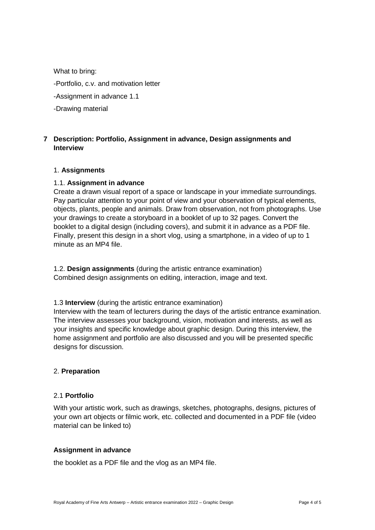What to bring:

- -Portfolio, c.v. and motivation letter
- -Assignment in advance 1.1
- -Drawing material

# **7 Description: Portfolio, Assignment in advance, Design assignments and Interview**

#### 1. **Assignments**

#### 1.1. **Assignment in advance**

Create a drawn visual report of a space or landscape in your immediate surroundings. Pay particular attention to your point of view and your observation of typical elements, objects, plants, people and animals. Draw from observation, not from photographs. Use your drawings to create a storyboard in a booklet of up to 32 pages. Convert the booklet to a digital design (including covers), and submit it in advance as a PDF file. Finally, present this design in a short vlog, using a smartphone, in a video of up to 1 minute as an MP4 file.

1.2. **Design assignments** (during the artistic entrance examination) Combined design assignments on editing, interaction, image and text.

1.3 **Interview** (during the artistic entrance examination)

Interview with the team of lecturers during the days of the artistic entrance examination. The interview assesses your background, vision, motivation and interests, as well as your insights and specific knowledge about graphic design. During this interview, the home assignment and portfolio are also discussed and you will be presented specific designs for discussion.

#### 2. **Preparation**

#### 2.1 **Portfolio**

With your artistic work, such as drawings, sketches, photographs, designs, pictures of your own art objects or filmic work, etc. collected and documented in a PDF file (video material can be linked to)

#### **Assignment in advance**

the booklet as a PDF file and the vlog as an MP4 file.